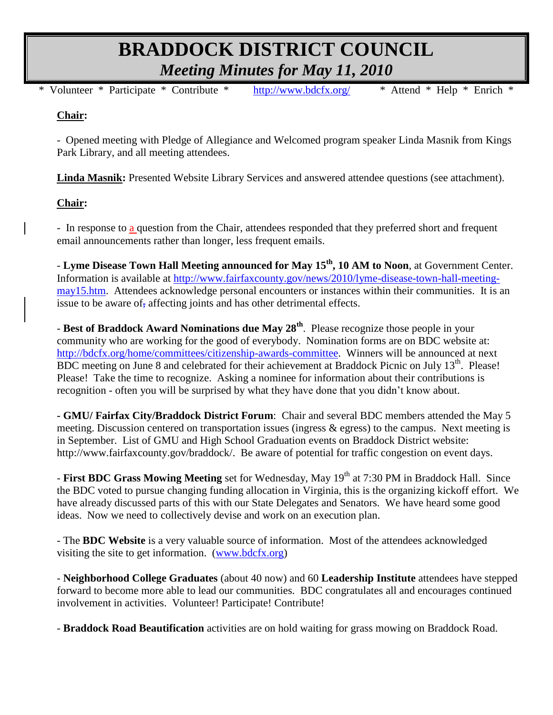# **BRADDOCK DISTRICT COUNCIL** *Meeting Minutes for May 11, 2010*

\* Volunteer \* Participate \* Contribute \* <http://www.bdcfx.org/>\* Attend \* Help \* Enrich \*

## **Chair:**

- Opened meeting with Pledge of Allegiance and Welcomed program speaker Linda Masnik from Kings Park Library, and all meeting attendees.

**Linda Masnik:** Presented Website Library Services and answered attendee questions (see attachment).

## **Chair:**

- In response to a question from the Chair, attendees responded that they preferred short and frequent email announcements rather than longer, less frequent emails.

- **Lyme Disease Town Hall Meeting announced for May 15th, 10 AM to Noon**, at Government Center. Information is available at [http://www.fairfaxcounty.gov/news/2010/lyme-disease-town-hall-meeting](http://www.fairfaxcounty.gov/news/2010/lyme-disease-town-hall-meeting-may15.htm)[may15.htm.](http://www.fairfaxcounty.gov/news/2010/lyme-disease-town-hall-meeting-may15.htm) Attendees acknowledge personal encounters or instances within their communities. It is an issue to be aware of, affecting joints and has other detrimental effects.

- **Best of Braddock Award Nominations due May 28th**. Please recognize those people in your community who are working for the good of everybody. Nomination forms are on BDC website at: [http://bdcfx.org/home/committees/citizenship-awards-committee.](http://bdcfx.org/home/committees/citizenship-awards-committee) Winners will be announced at next BDC meeting on June 8 and celebrated for their achievement at Braddock Picnic on July 13<sup>th</sup>. Please! Please! Take the time to recognize. Asking a nominee for information about their contributions is recognition - often you will be surprised by what they have done that you didn't know about.

**- GMU/ Fairfax City/Braddock District Forum**: Chair and several BDC members attended the May 5 meeting. Discussion centered on transportation issues (ingress  $\&$  egress) to the campus. Next meeting is in September. List of GMU and High School Graduation events on Braddock District website: http://www.fairfaxcounty.gov/braddock/. Be aware of potential for traffic congestion on event days.

- **First BDC Grass Mowing Meeting** set for Wednesday, May 19<sup>th</sup> at 7:30 PM in Braddock Hall. Since the BDC voted to pursue changing funding allocation in Virginia, this is the organizing kickoff effort. We have already discussed parts of this with our State Delegates and Senators. We have heard some good ideas. Now we need to collectively devise and work on an execution plan.

- The **BDC Website** is a very valuable source of information. Most of the attendees acknowledged visiting the site to get information. [\(www.bdcfx.org\)](http://www.bdcfx.org/)

- **Neighborhood College Graduates** (about 40 now) and 60 **Leadership Institute** attendees have stepped forward to become more able to lead our communities. BDC congratulates all and encourages continued involvement in activities. Volunteer! Participate! Contribute!

- **Braddock Road Beautification** activities are on hold waiting for grass mowing on Braddock Road.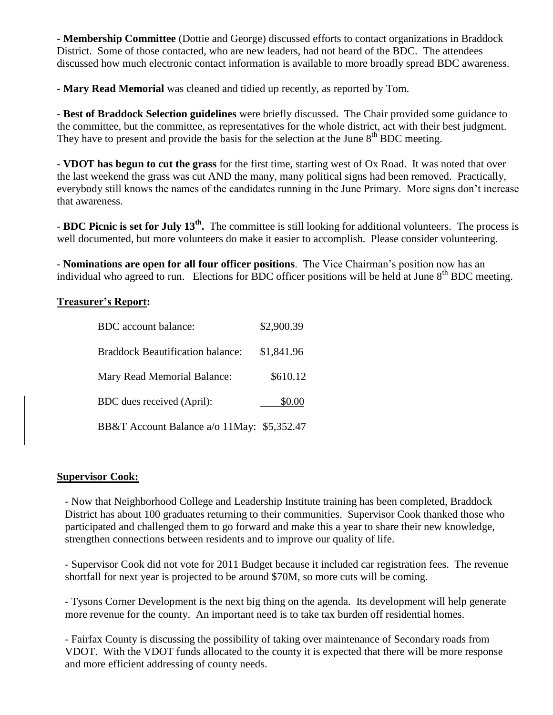- **Membership Committee** (Dottie and George) discussed efforts to contact organizations in Braddock District. Some of those contacted, who are new leaders, had not heard of the BDC. The attendees discussed how much electronic contact information is available to more broadly spread BDC awareness.

- **Mary Read Memorial** was cleaned and tidied up recently, as reported by Tom.

- **Best of Braddock Selection guidelines** were briefly discussed. The Chair provided some guidance to the committee, but the committee, as representatives for the whole district, act with their best judgment. They have to present and provide the basis for the selection at the June  $8<sup>th</sup>$  BDC meeting.

- **VDOT has begun to cut the grass** for the first time, starting west of Ox Road. It was noted that over the last weekend the grass was cut AND the many, many political signs had been removed. Practically, everybody still knows the names of the candidates running in the June Primary. More signs don't increase that awareness.

- **BDC Picnic is set for July 13th .** The committee is still looking for additional volunteers. The process is well documented, but more volunteers do make it easier to accomplish. Please consider volunteering.

- **Nominations are open for all four officer positions**. The Vice Chairman's position now has an individual who agreed to run. Elections for BDC officer positions will be held at June  $8<sup>th</sup>$  BDC meeting.

## **Treasurer's Report:**

| <b>BDC</b> account balance:                | \$2,900.39 |
|--------------------------------------------|------------|
| <b>Braddock Beautification balance:</b>    | \$1,841.96 |
| Mary Read Memorial Balance:                | \$610.12   |
| BDC dues received (April):                 | \$0.00     |
| BB&T Account Balance a/o 11May: \$5,352.47 |            |

## **Supervisor Cook:**

- Now that Neighborhood College and Leadership Institute training has been completed, Braddock District has about 100 graduates returning to their communities. Supervisor Cook thanked those who participated and challenged them to go forward and make this a year to share their new knowledge, strengthen connections between residents and to improve our quality of life.

- Supervisor Cook did not vote for 2011 Budget because it included car registration fees. The revenue shortfall for next year is projected to be around \$70M, so more cuts will be coming.

- Tysons Corner Development is the next big thing on the agenda. Its development will help generate more revenue for the county. An important need is to take tax burden off residential homes.

- Fairfax County is discussing the possibility of taking over maintenance of Secondary roads from VDOT. With the VDOT funds allocated to the county it is expected that there will be more response and more efficient addressing of county needs.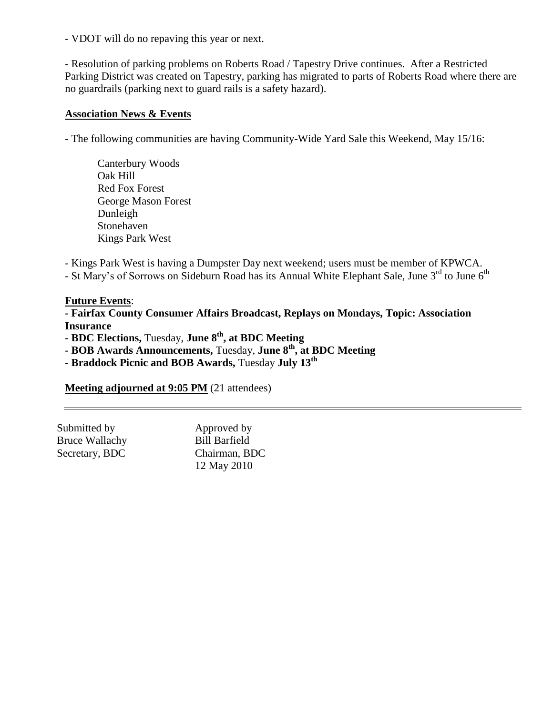- VDOT will do no repaving this year or next.

- Resolution of parking problems on Roberts Road / Tapestry Drive continues. After a Restricted Parking District was created on Tapestry, parking has migrated to parts of Roberts Road where there are no guardrails (parking next to guard rails is a safety hazard).

#### **Association News & Events**

- The following communities are having Community-Wide Yard Sale this Weekend, May 15/16:

Canterbury Woods Oak Hill Red Fox Forest George Mason Forest Dunleigh Stonehaven Kings Park West

- Kings Park West is having a Dumpster Day next weekend; users must be member of KPWCA.

- St Mary's of Sorrows on Sideburn Road has its Annual White Elephant Sale, June 3<sup>rd</sup> to June 6<sup>th</sup>

#### **Future Events**:

**- Fairfax County Consumer Affairs Broadcast, Replays on Mondays, Topic: Association Insurance**

**- BDC Elections,** Tuesday, **June 8th, at BDC Meeting**

**- BOB Awards Announcements,** Tuesday, **June 8th, at BDC Meeting**

**- Braddock Picnic and BOB Awards,** Tuesday **July 13th**

**Meeting adjourned at 9:05 PM** (21 attendees)

| Submitted by          | Approved by          |
|-----------------------|----------------------|
| <b>Bruce Wallachy</b> | <b>Bill Barfield</b> |
| Secretary, BDC        | Chairman, BDC        |
|                       | 12 May 2010          |